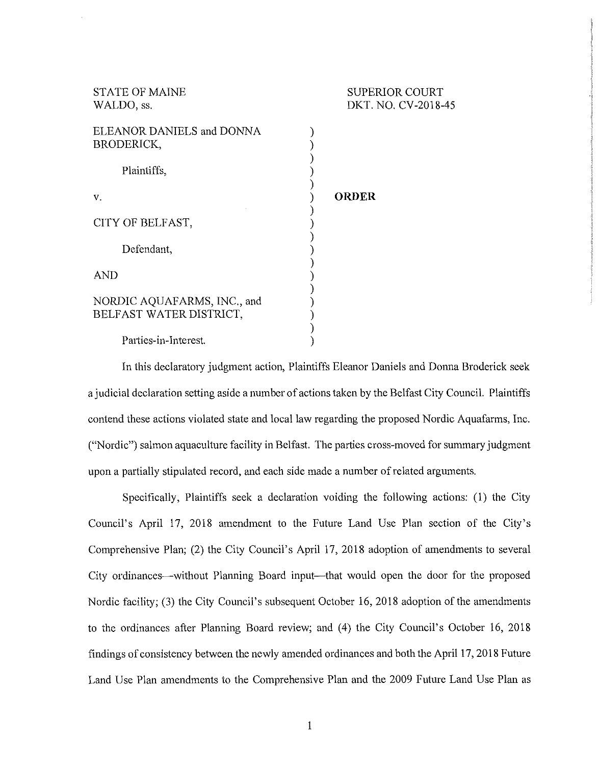| <b>STATE OF MAINE</b>       | <b>SUPERIOR COURT</b> |
|-----------------------------|-----------------------|
| WALDO, ss.                  | DKT. NO. CV-2018-45   |
|                             |                       |
| ELEANOR DANIELS and DONNA   |                       |
| BRODERICK,                  |                       |
|                             |                       |
| Plaintiffs,                 |                       |
|                             |                       |
| V.                          | <b>ORDER</b>          |
|                             |                       |
| CITY OF BELFAST,            |                       |
|                             |                       |
| Defendant.                  |                       |
|                             |                       |
| <b>AND</b>                  |                       |
|                             |                       |
|                             |                       |
| NORDIC AQUAFARMS, INC., and |                       |
| BELFAST WATER DISTRICT,     |                       |
|                             |                       |
| Parties-in-Interest.        |                       |
|                             |                       |

In this declaratory judgment action, Plaintiffs Eleanor Daniels and Donna Broderick seek a judicial declaration setting aside a number of actions taken by the Belfast City Council. Plaintiffs contend these actions violated state and local law regarding the proposed Nordic Aquafarms, Inc. ("Nordic") salmon aquaculture facility in Belfast. The parties cross-moved for summary judgment upon a partially stipulated record, and each side made a number of related arguments.

Specifically, Plaintiffs seek a declaration voiding the following actions: (1) the City Council's April 17, 2018 amendment to the Future Land Use Plan section of the City's Comprehensive Plan; (2) the City Council's April 17, 2018 adoption of amendments to several City ordinances-without Planning Board input-that would open the door for the proposed Nordic facility; (3) the City Council's subsequent October 16, 2018 adoption of the amendments to the ordinances after Planning Board review; and (4) the City Council's October 16, 2018 findings of consistency between the newly amended ordinances and both the April 17, 2018 Future Land Use Plan amendments to the Comprehensive Plan and the 2009 Future Land Use Plan as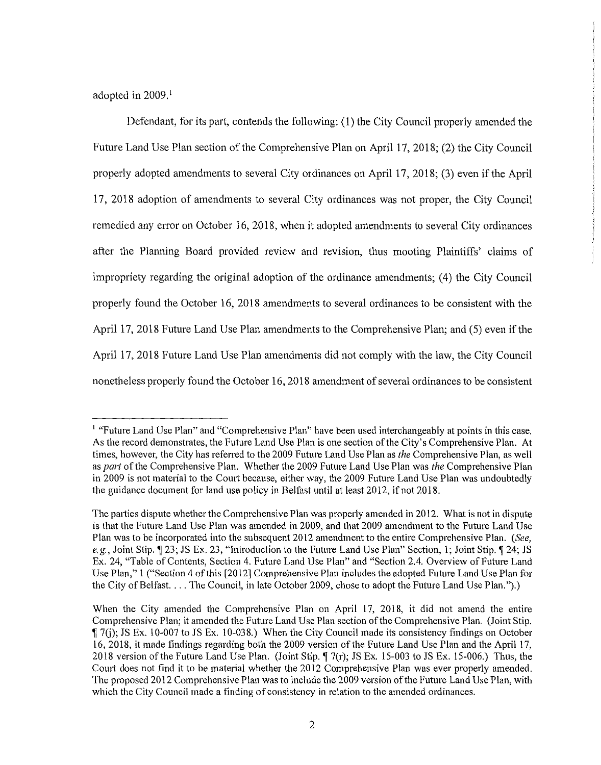adopted in 2009.<sup>1</sup>

Defendant, for its part, contends the following: (1) the City Council properly amended the Future Land Use Plan section of the Comprehensive Plan on April 17, 2018; (2) the City Council properly adopted amendments to several City ordinances on April 17, 2018; (3) even if the April 17, 2018 adoption of amendments to several City ordinances was not proper, the City Council remedied any error on October 16, 2018, when it adopted amendments to several City ordinances after the Planning Board provided review and revision, thus mooting Plaintiffs' claims of impropriety regarding the original adoption of the ordinance amendments; (4) the City Council properly found the October 16, 2018 amendments to several ordinances to be consistent with the April 17, 2018 Future Land Use Plan amendments to the Comprehensive Plan; and (5) even if the April 17, 2018 Future Land Use Plan amendments did not comply with the law, the City Council nonetheless properly found the October 16, 2018 amendment of several ordinances to be consistent

<sup>&</sup>lt;sup>1</sup> "Future Land Use Plan" and "Comprehensive Plan" have been used interchangeably at points in this case. As the record demonstrates, the Future Land Use Plan is one section ofthe City's Comprehensive Plan. At times, however, the City has refened to the 2009 Future Land Use Plan as *the* Comprehensive Plan, as well as *part* of the Comprehensive Plan. Whether the 2009 Future Land Use Plan was *the* Comprehensive Plan in 2009 is not material to the Court because, either way, the 2009 Future Land Use Plan was undoubtedly the guidance document for land use policy in Belfast until at least 2012, if not 2018.

The patties dispute whether the Comprehensive Plan was properly amended in 2012. What is not in dispute is that the Future Land Use Plan was amended in 2009, and that 2009 amendment to the Future Land Use Plan was to be incorporated into the subsequent 2012 amendment to the entire Comprehensive Plan. *(See,*  e.g., Joint Stip.  $\P$  23; JS Ex. 23, "Introduction to the Future Land Use Plan" Section, 1; Joint Stip.  $\P$  24; JS Ex. 24, "Table of Contents, Section 4. Future Land Use Plan" and "Section 2.4. Overview of Future Land Use Plan," I ("Section 4 of this [2012] Comprehensive Plan includes the adopted Future Land Use Plan for the City of Belfast. ... The Council, in late October 2009, chose to adopt the Future Land Use Plan.").)

When the City amended the Comprehensive Plan on April 17, 2018, it did not amend the entire Comprehensive Plan; it amended the Future Land Use Plan section of the Comprehensive Plan. (Joint Stip. 17(j); JS Ex. 10-007 to JS Ex. 10-038.) When the City Council made its consistency findings on October 16, 2018, it made findings regarding both the 2009 version of the Future Land Use Plan and the April 17, 2018 version of the Future Land Use Plan. (Joint Stip.  $\sqrt{7(r)}$ ; JS Ex. 15-003 to JS Ex. 15-006.) Thus, the Court does not find it to be material whether the 2012 Comprehensive Plan was ever properly amended. The proposed 2012 Comprehensive Plan was to include the 2009 version of the Future Land Use Plan, with which the City Council made a finding of consistency in relation to the amended ordinances.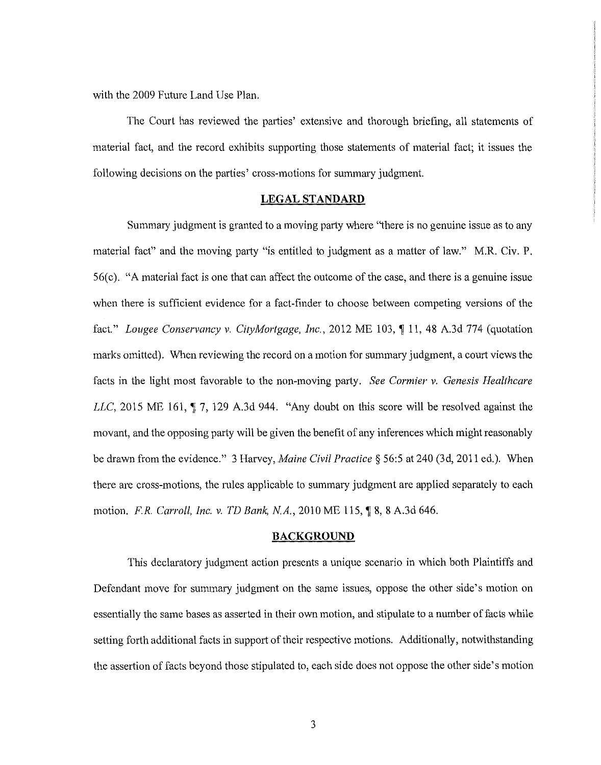with the 2009 Future Land Use Plan.

The Court has reviewed the parties' extensive and thorough briefing, all statements of material fact, and the record exhibits supporting those statements of material fact; it issues the following decisions on the parties' cross-motions for summary judgment.

### **LEGAL STANDARD**

Summary judgment is granted to a moving party where "there is no genuine issue as to any material fact" and the moving party "is entitled to judgment as a matter of law." M.R. Civ. P. 56(c). "A material fact is one that can affect the outcome of the case, and there is a genuine issue when there is sufficient evidence for a fact-finder to choose between competing versions of the fact." *Lougee Conservancy v. CityMortgage, Inc.,* 2012 ME 103, ¶ 11, 48 A.3d 774 (quotation marks omitted). When reviewing the record on a motion for summary judgment, a court views the facts in the light most favorable to the non-moving party. *See Cormier v. Genesis Healthcare LLC*, 2015 ME 161,  $\P$  7, 129 A.3d 944. "Any doubt on this score will be resolved against the movant, and the opposing party will be given the benefit of any inferences which might reasonably be drawn from the evidence." 3 Harvey, *Maine Civil Practice§* 56:5 at 240 (3d, 2011 ed.). When there are cross-motions, the rules applicable to summary judgment are applied separately to each motion. *F.R. Carroll, Inc. v. TD Bank, N.A.*, 2010 ME 115, 18, 8 A.3d 646.

### **BACKGROUND**

This declaratory judgment action presents a unique scenario in which both Plaintiffs and Defendant move for summary judgment on the same issues, oppose the other side's motion on essentially the same bases as asserted in their own motion, and stipulate to a number of facts while setting forth additional facts in support of their respective motions. Additionally, notwithstanding the assertion of facts beyond those stipulated to, each side does not oppose the other side's motion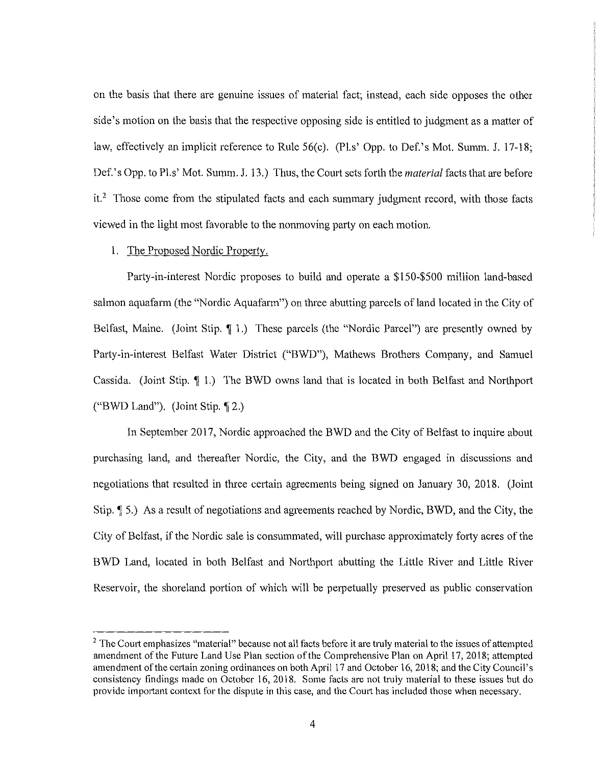on the basis that there are genuine issues of material fact; instead, each side opposes the other side's motion on the basis that the respective opposing side is entitled to judgment as a matter of law, effectively an implicit reference to Rule 56(c). (Pl.s' Opp. to Def.'s Mot. Summ. J. 17-18; Def.'s Opp. to Pl.s' Mot. Summ. J. 13.) Thus, the Court sets forth the *material* facts that are before it.<sup>2</sup> Those come from the stipulated facts and each summary judgment record, with those facts viewed in the light most favorable to the nonmoving party on each motion.

# 1. The Proposed Nordic Property.

Party-in-interest Nordic proposes to build and operate a \$150-\$500 million land-based salmon aquafarm (the "Nordic Aquafarm") on three abutting parcels of land located in the City of Belfast, Maine. (Joint Stip.  $\P$  1.) These parcels (the "Nordic Parcel") are presently owned by Party-in-interest Belfast Water District ("BWD"), Mathews Brothers Company, and Samuel Cassida. (Joint Stip.  $\lceil \cdot | \cdot | \cdot \rceil$ ) The BWD owns land that is located in both Belfast and Northport ("BWD Land"). (Joint Stip.  $\P$ 2.)

In September 2017, Nordic approached the BWD and the City of Belfast to inquire about purchasing land, and thereafter Nordic, the City, and the BWD engaged in discussions and negotiations that resulted in three certain agreements being signed on January 30, 2018. (Joint Stip.  $\parallel$  5.) As a result of negotiations and agreements reached by Nordic, BWD, and the City, the City of Belfast, if the Nordic sale is consummated, will purchase approximately forty acres of the B WD Land, located in both Belfast and Northport abutting the Little River and Little River Reservoir, the shoreland portion of which will be perpetually preserved as public conservation

<sup>&</sup>lt;sup>2</sup> The Court emphasizes "material" because not all facts before it are truly material to the issues of attempted amendment of the Future Land Use Plan section of the Comprehensive Plan on April 17, 2018; attempted amendment of the certain zoning ordinances on both April 17 and October 16, 2018; and the City Council's consistency findings made on October 16, 2018. Some facts are not trnly material to these issues but do provide important context for the dispute in this case, and the Court has included those when necessary.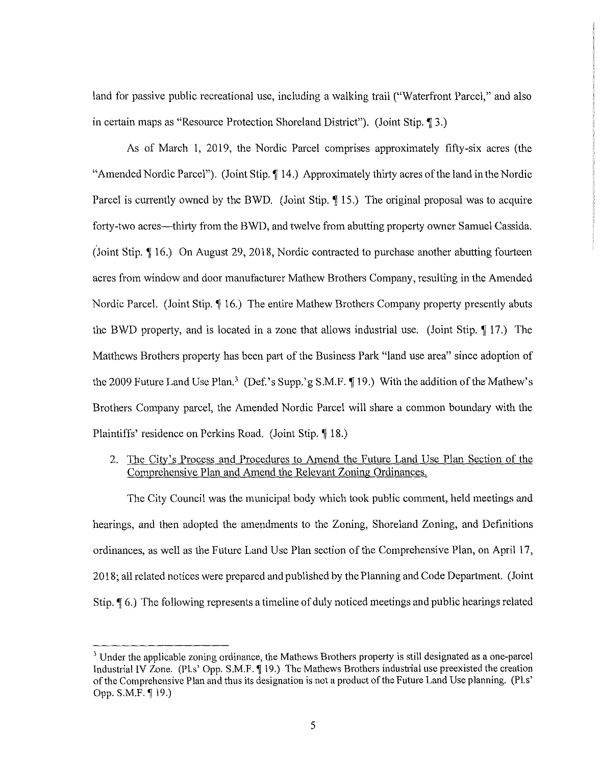land for passive public recreational use, including a walking trail ("Waterfront Parcel," and also in certain maps as "Resource Protection Shoreland District"). (Joint Stip. 1 3.)

As of March 1, 2019, the Nordic Parcel comprises approximately fifty-six acres (the "Amended Nordic Parcel"). (Joint Stip. **14.**) Approximately thirty acres of the land in the Nordic Parcel is currently owned by the BWD. (Joint Stip. 15.) The original proposal was to acquire forty-two acres—thirty from the BWD, and twelve from abutting property owner Samuel Cassida. (Joint Stip. ¶ 16.) On August 29, 2018, Nordic contracted to purchase another abutting fourteen acres from window and door manufacturer Mathew Brothers Company, resulting in the Amended Nordic Parcel. (Joint Stip. 16.) The entire Mathew Brothers Company property presently abuts the BWD property, and is located in a zone that allows industrial use. (Joint Stip. 17.) The Matthews Brothers property has been part of the Business Park "land use area" since adoption of the 2009 Future Land Use Plan.<sup>3</sup> (Def.'s Supp.'g S.M.F. 19.) With the addition of the Mathew's Brothers Company parcel, the Amended Nordic Parcel will share a common boundary with the Plaintiffs' residence on Perkins Road. (Joint Stip. 18.)

2. The City's Process and Procedures to Amend the Future Land Use Plan Section of the Comprehensive Plan and Amend the Relevant Zoning Ordinances.

The City Council was the municipal body which took public comment, held meetings and hearings, and then adopted the amendments to the Zoning, Shoreland Zoning, and Definitions ordinances, as well as the Future Land Use Plan section of the Comprehensive Plan, on April 17, 2018; all related notices were prepared and published by the Planning and Code Department. ( Joint Stip. **(6.)** The following represents a timeline of duly noticed meetings and public hearings related

<sup>&</sup>lt;sup>3</sup> Under the applicable zoning ordinance, the Mathews Brothers property is still designated as a one-parcel Industrial IV Zone. (Pl.s' Opp. S.M.F. 19.) The Mathews Brothers industrial use preexisted the creation of the Comprehensive Plan and thus its designation is not a product of the Future Land Use planning. (Pl.s' Opp. S.M.F. [19.]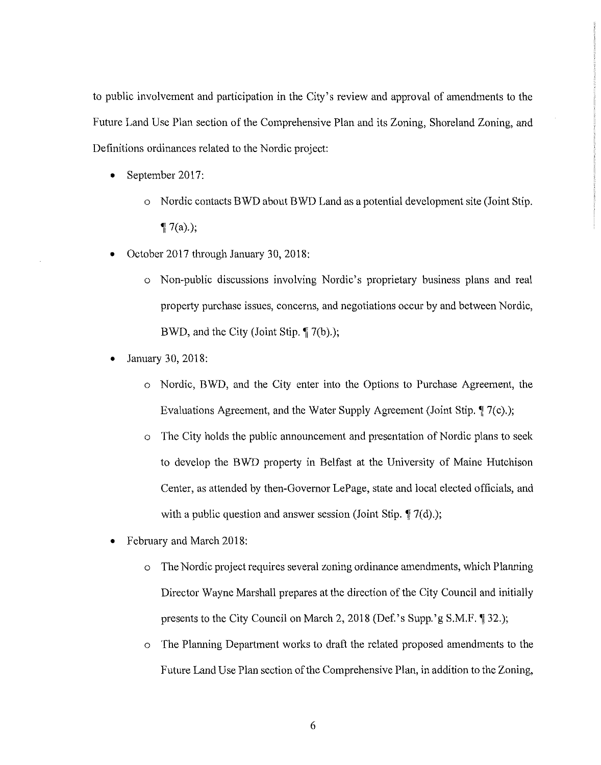to public involvement and participation in the City's review and approval of amendments to the Future Land Use Plan section of the Comprehensive Plan and its Zoning, Shoreland Zoning, and Definitions ordinances related to the Nordic project:

- September 2017:
	- o Nordic contacts BWD about BWD Land as a potential development site (Joint Stip. **1** $7(a)$ ;
- October 2017 through January 30, 2018:
	- o Non-public discussions involving Nordic's proprietary business plans and real property purchase issues, concerns, and negotiations occur by and between Nordic, BWD, and the City (Joint Stip.  $\P$  7(b).);
- January 30, 2018:
	- o Nordic, BWD, and the City enter into the Options to Purchase Agreement, the Evaluations Agreement, and the Water Supply Agreement (Joint Stip. **1** 7(c).);
	- The City holds the public announcement and presentation of Nordic plans to seek to develop the B WD property in Belfast at the University of Maine Hutchison Center, as attended by then-Governor LePage, state and local elected officials, and with a public question and answer session (Joint Stip.  $\P$  7(d).);
- February and March 2018:
	- o The Nordic project requires several zoning ordinance amendments, which Planning Director Wayne Marshall prepares at the direction of the City Council and initially presents to the City Council on March 2, 2018 (Def.'s Supp.'g S.M.F. **[**] 32.);
	- o The Planning Department works to draft the related proposed amendments to the Future Land Use Plan section of the Comprehensive Plan, in addition to the Zoning,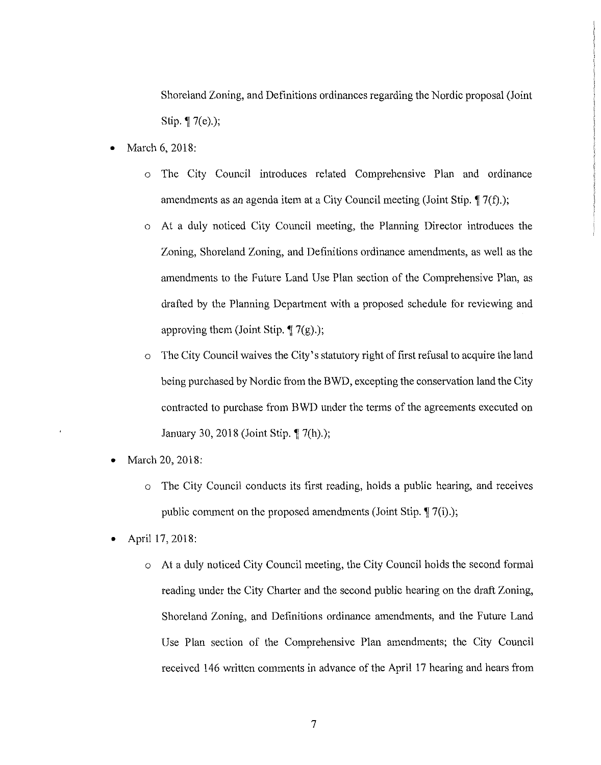Shoreland Zoning, and Definitions ordinances regarding the Nordic proposal (Joint Stip. **1** 7(e).);

- March 6, 2018:
	- $\circ$  The City Council introduces related Comprehensive Plan and ordinance amendments as an agenda item at a City Council meeting (Joint Stip. 17(f).);
	- At a duly noticed City Council meeting, the Planning Director introduces the Zoning, Shoreland Zoning, and Definitions ordinance amendments, as well as the amendments to the Future Land Use Plan section of the Comprehensive Plan, as drafted by the Planning Department with a proposed schedule for reviewing and approving them (Joint Stip.  $\P$  7(g).);
	- o The City Council waives the City's statutory right of first refusal to acquire the land being purchased by Nordic from the BWD, excepting the conservation land the City contracted to purchase from B WD under the terms of the agreements executed on January 30, 2018 (Joint Stip. **†** 7(h).);
- March 20, 2018:
	- o The City Council conducts its first reading, holds a public hearing, and receives public comment on the proposed amendments (Joint Stip.  $\P$  7(i).);
- April 17, 2018:
	- o At a duly noticed City Council meeting, the City Council holds the second formal reading under the City Charter and the second public hearing on the draft Zoning, Shoreland Zoning, and Definitions ordinance amendments, and the Future Land Use Plan section of the Comprehensive Plan amendments; the City Council received 146 written comments in advance of the April 17 hearing and hears from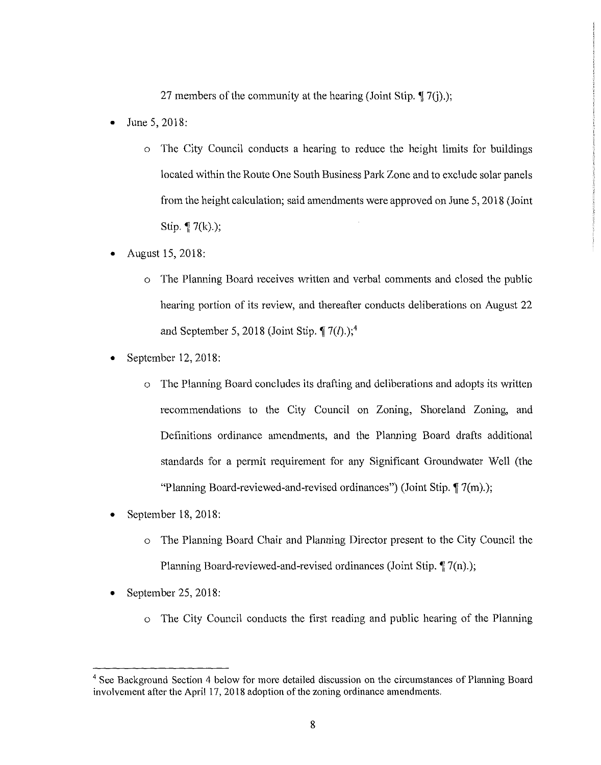27 members of the community at the hearing (Joint Stip.  $\P$  7(j).);

- June  $5, 2018$ :
	- $\circ$  The City Council conducts a hearing to reduce the height limits for buildings located within the Route One South Business Park Zone and to exclude solar panels from the height calculation; said amendments were approved on June 5, 2018 (Joint Stip.  $\P$  7(k).);
- August 15, 2018:
	- o The Planning Board receives written and verbal comments and closed the public hearing portion of its review, and thereafter conducts deliberations on August 22 and September 5, 2018 (Joint Stip.  $\P$  7(l).);<sup>4</sup>
- September 12, 2018:
	- $\circ$  The Planning Board concludes its drafting and deliberations and adopts its written recommendations to the City Council on Zoning, Shoreland Zoning, and Definitions ordinance amendments, and the Planning Board drafts additional standards for a permit requirement for any Significant Groundwater Well (the "Planning Board-reviewed-and-revised ordinances") (Joint Stip.  $\P$  7(m).);
- September 18, 2018:
	- o The Planning Board Chair and Planning Director present to the City Council the Planning Board-reviewed-and-revised ordinances (Joint Stip.  $\sqrt[n]{7(n)}$ .);
- September 25, 2018:
	- o The City Council conducts the first reading and public hearing of the Planning

<sup>&</sup>lt;sup>4</sup> See Background Section 4 below for more detailed discussion on the circumstances of Planning Board involvement after the April 17, 2018 adoption of the zoning ordinance amendments.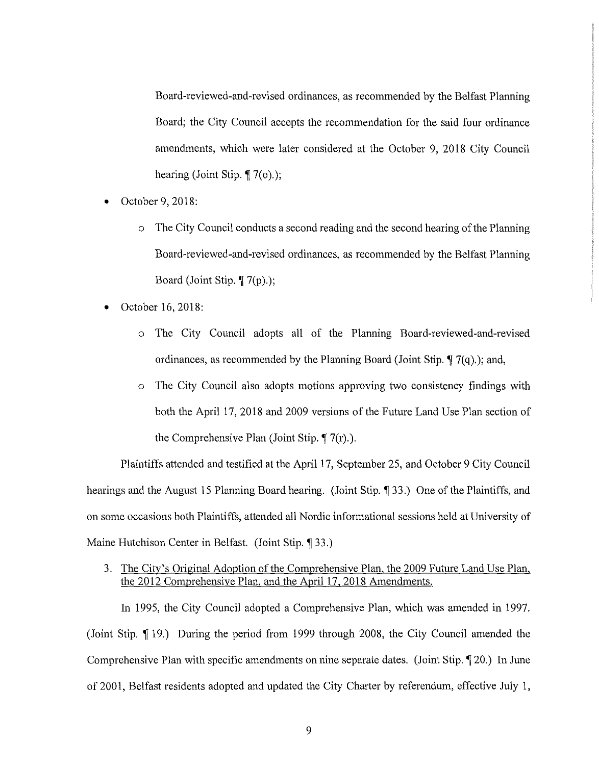Board-reviewed-and-revised ordinances, as recommended by the Belfast Planning Board; the City Council accepts the recommendation for the said four ordinance amendments, which were later considered at the October 9, 2018 City Council hearing (Joint Stip.  $\P$  7(o).);

- October 9, 2018:
	- $\circ$  The City Council conducts a second reading and the second hearing of the Planning Board-reviewed-and-revised ordinances, as recommended by the Belfast Planning Board (Joint Stip. ¶ 7(p).);
- October 16, 2018:
	- o The City Council adopts all of the Planning Board-reviewed-and-revised ordinances, as recommended by the Planning Board (Joint Stip.  $\P$  7(q).); and,
	- o The City Council also adopts motions approving two consistency findings with both the April 17, 2018 and 2009 versions of the Future Land Use Plan section of the Comprehensive Plan (Joint Stip.  $\P$  7(r).).

Plaintiffs attended and testified at the April 17, September 25, and October 9 City Council hearings and the August 15 Planning Board hearing. (Joint Stip. 1 33.) One of the Plaintiffs, and on some occasions both Plaintiffs, attended all Nordic informational sessions held at University of Maine Hutchison Center in Belfast. (Joint Stip. 133.)

3. The City's Original Adoption of the Comprehensive Plan, the 2009 Future Land Use Plan, the 2012 Comprehensive Plan, and the April 17, 2018 Amendments.

In 1995, the City Council adopted a Comprehensive Plan, which was amended in 1997. (Joint Stip. 19.) During the period from 1999 through 2008, the City Council amended the Comprehensive Plan with specific amendments on nine separate dates. (Joint Stip. 120.) In June of 2001, Belfast residents adopted and updated the City Charter by referendum, effective July 1,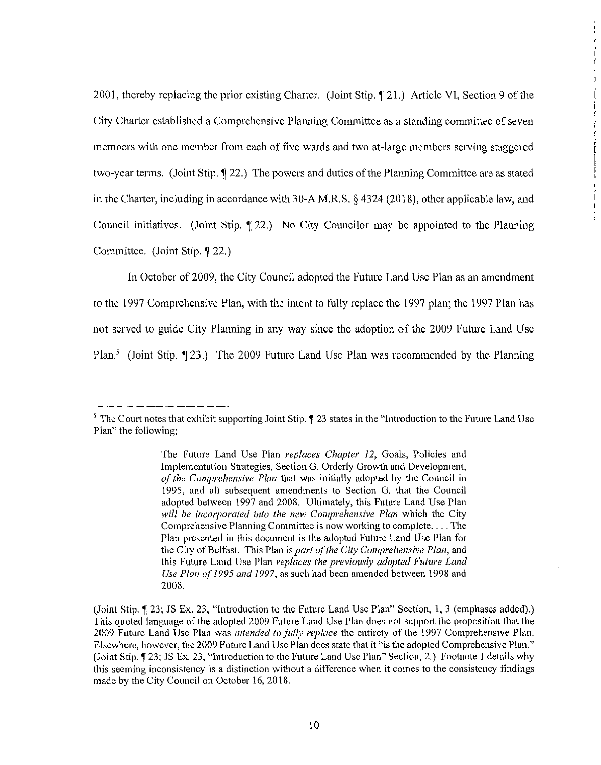2001, thereby replacing the prior existing Charter. (Joint Stip. 121.) Article VI, Section 9 of the City Charter established a Comprehensive Planning Committee as a standing committee of seven members with one member from each of five wards and two at-large members serving staggered two-year terms. (Joint Stip.  $\P$  22.) The powers and duties of the Planning Committee are as stated in the Charter, including in accordance with 30-A M.R.S.  $\S$  4324 (2018), other applicable law, and Council initiatives. (Joint Stip.  $\llbracket 22 \rrbracket$ ) No City Councilor may be appointed to the Planning Committee. (Joint Stip. 122.)

In October of 2009, the City Council adopted the Future Land Use Plan as an amendment to the 1997 Comprehensive Plan, with the intent to fully replace the 1997 plan; the 1997 Plan has not served to guide City Planning in any way since the adoption of the 2009 Future Land Use Plan.<sup>5</sup> (Joint Stip.  $\lceil 23. \rceil$ ) The 2009 Future Land Use Plan was recommended by the Planning

 $5$  The Court notes that exhibit supporting Joint Stip.  $\P$  23 states in the "Introduction to the Future Land Use Plan" the following:

The Future Land Use Plan *replaces Chapter* 12, Goals, Policies and Implementation Strategies, Section G. Orderly Growth and Development, *of the Comprehensive Plan* that was initially adopted by the Council in 1995, and all subsequent amendments to Section G. that the Council adopted between 1997 and 2008. Ultimately, this Future Land Use Plan *will be incorporated into the new Comprehensive Plan* which the City Comprehensive Planning Committee is now working to complete.... The Plan presented in this document is the adopted Future Land Use Plan for the City of Belfast. This Plan is *part of the City Comprehensive Plan*, and this Future Land Use Plan *replaces the previously adopted Future Land Use Plan of1995 and 1997,* as such had been amended between 1998 and 2008.

<sup>(</sup>Joint Stip.  $\P$  23; JS Ex. 23, "Introduction to the Future Land Use Plan" Section, 1, 3 (emphases added).) This quoted language of the adopted 2009 Future Land Use Plan does not support the proposition that the 2009 Future Land Use Plan was *intended to fi1lly replace* the entirety of the 1997 Comprehensive Plan. Elsewhere, however, the 2009 Future Land Use Plan does state that it "is the adopted Comprehensive Plan." (Joint Stip. ¶ 23; JS Ex. 23, "Introduction to the Future Land Use Plan" Section, 2.) Footnote 1 details why this seeming inconsistency is a distinction without a difference when it comes to the consistency findings made by the City Council on October 16, 2018.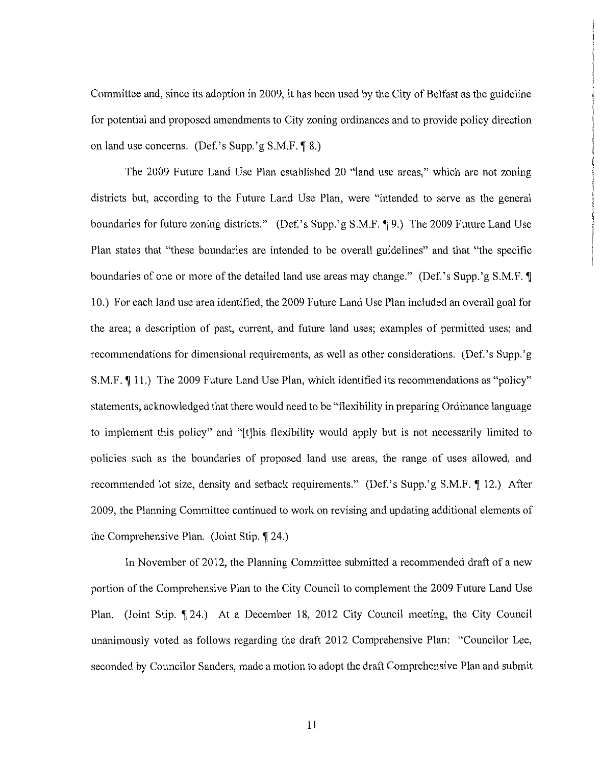Committee and, since its adoption in 2009, it has been used by the City of Belfast as the guideline for potential and proposed amendments to City zoning ordinances and to provide policy direction on land use concerns. (Def.'s Supp.'g  $S.M.F. \P 8$ .)

The 2009 Future Land Use Plan established 20 "land use areas," which are not zoning districts but, according to the Future Land Use Plan, were "intended to serve as the general boundaries for future zoning districts." (Def.'s Supp.'g S.M.F. 19.) The 2009 Future Land Use Plan states that "these boundaries are intended to be overall guidelines" and that "the specific boundaries of one or more of the detailed land use areas may change." (Def.'s Supp.'g S.M.F. **T**) 10.) For each land use area identified, the 2009 Future Land Use Plan included an overall goal for the area; a description of past, current, and future land uses; examples of permitted uses; and recommendations for dimensional requirements, as well as other considerations. (Def. 's Supp. 'g S.M.F. **(11.)** The 2009 Future Land Use Plan, which identified its recommendations as "policy" statements, acknowledged that there would need to be "flexibility in preparing Ordinance language to implement this policy" and "[t]his flexibility would apply but is not necessarily limited to policies such as the boundaries of proposed land use areas, the range of uses allowed, and recommended lot size, density and setback requirements." (Def.'s Supp.'g S.M.F. 12.) After 2009, the Planning Committee continued to work on revising and updating additional elements of the Comprehensive Plan. (Joint Stip. 124.)

In November of 2012, the Planning Committee submitted a recommended draft of a new portion of the Comprehensive Plan to the City Council to complement the 2009 Future Land Use Plan. (Joint Stip. 124.) At a December 18, 2012 City Council meeting, the City Council unanimously voted as follows regarding the draft 2012 Comprehensive Plan: "Councilor Lee, seconded by Councilor Sanders, made a motion to adopt the draft Comprehensive Plan and submit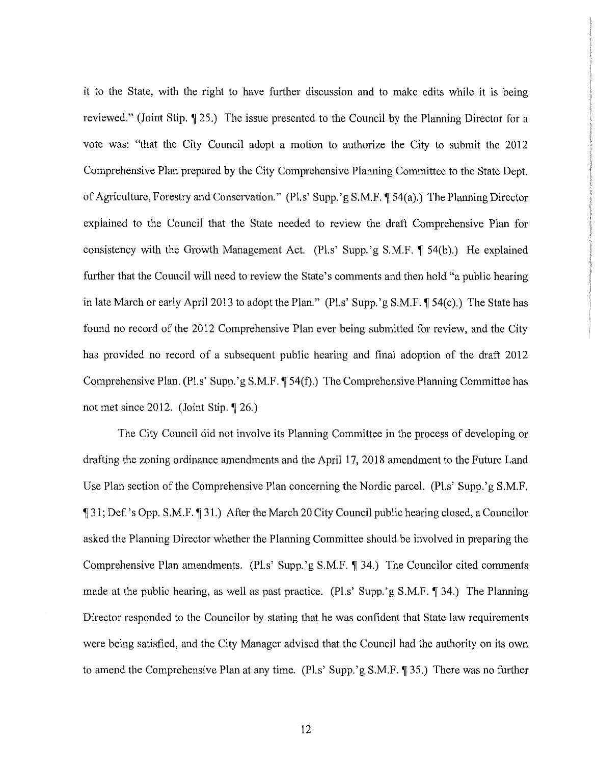it to the State, with the right to have further discussion and to make edits while it is being reviewed." (Joint Stip.  $\P$  25.) The issue presented to the Council by the Planning Director for a vote was: "that the City Council adopt a motion to authorize the City to submit the 2012 Comprehensive Plan prepared by the City Comprehensive Planning Committee to the State Dept. of Agriculture, Forestry and Conservation." (Pl.s' Supp.'g S.M.F. ¶ 54(a).) The Planning Director explained to the Council that the State needed to review the draft Comprehensive Plan for consistency with the Growth Management Act. (Pl.s' Supp.'g S.M.F.  $\P$  54(b).) He explained further that the Council will need to review the State's comments and then hold "a public hearing in late March or early April 2013 to adopt the Plan." (Pl.s' Supp.'g S.M.F.  $\P$  54(c).) The State has found no record of the 2012 Comprehensive Plan ever being submitted for review, and the City has provided no record of a subsequent public hearing and final adoption of the draft 2012 Comprehensive Plan. (Pl.s' Supp.'g S.M.F. [54(f).) The Comprehensive Planning Committee has not met since 2012. (Joint Stip.  $\S$  26.)

The City Council did not involve its Planning Committee in the process of developing or drafting the zoning ordinance amendments and the April 17, 2018 amendment to the Future Land Use Plan section of the Comprehensive Plan concerning the Nordic parcel. (Pl.s' Supp.'g S.M.F. , 31; Def.'s Opp. S.M.F., 31.) After the March 20 City Council public hearing closed, a Councilor asked the Planning Director whether the Planning Committee should be involved in preparing the Comprehensive Plan amendments. (Pl.s' Supp.'g S.M.F. ¶ 34.) The Councilor cited comments made at the public hearing, as well as past practice. (Pl.s' Supp.'g S.M.F.  $\parallel$  34.) The Planning Director responded to the Councilor by stating that he was confident that State law requirements were being satisfied, and the City Manager advised that the Council had the authority on its own to amend the Comprehensive Plan at any time. (Pl.s' Supp.'g S.M.F. ¶ 35.) There was no further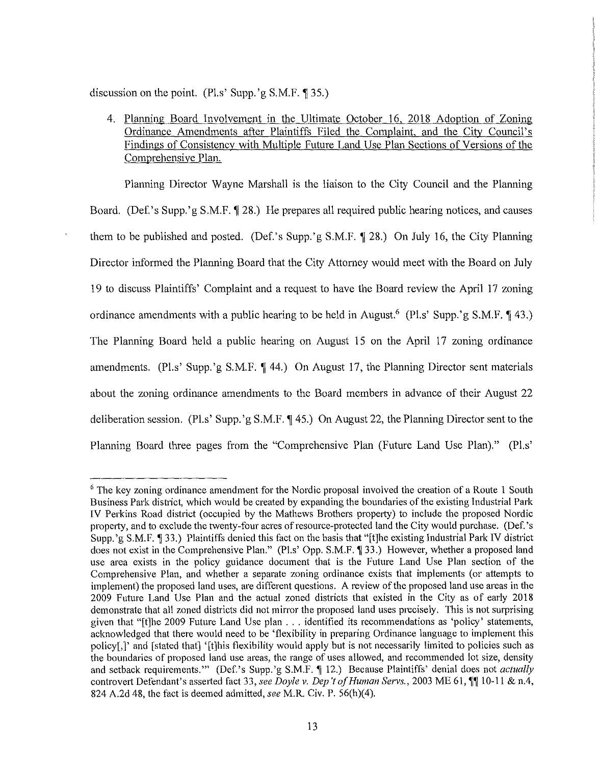discussion on the point. (Pl.s' Supp.'g  $S.M.F. \P 35$ .)

4. Planning Board Involvement in the Ultimate October 16, 2018 Adoption of Zoning Ordinance Amendments after Plaintiffs Filed the Complaint, and the City Council's Findings of Consistency with Multiple Future Land Use Plan Sections of Versions of the Comprehensive Plan.

Planning Director Wayne Marshall is the liaison to the City Council and the Planning Board. (Def.'s Supp.'g S.M.F. 128.) He prepares all required public hearing notices, and causes them to be published and posted. (Def.'s Supp.'g S.M.F. 128.) On July 16, the City Planning Director informed the Planning Board that the City Attorney would meet with the Board on July 19 to discuss Plaintiffs' Complaint and a request to have the Board review the April 17 zoning ordinance amendments with a public hearing to be held in August.<sup>6</sup> (Pl.s' Supp.'g S.M.F. **143.**) The Planning Board held a public hearing on August 15 on the April 17 zoning ordinance amendments. (Pl.s' Supp.'g S.M.F. 144.) On August 17, the Planning Director sent materials about the zoning ordinance amendments to the Board members in advance of their August 22 deliberation session. (Pl.s' Supp.'g S.M.F. ¶ 45.) On August 22, the Planning Director sent to the Planning Board three pages from the "Comprehensive Plan (Future Land Use Plan)." (Pl.s'

<sup>&</sup>lt;sup>6</sup> The key zoning ordinance amendment for the Nordic proposal involved the creation of a Route 1 South Business Park district, which would be created by expanding the boundaries of the existing Industrial Park IV Perkins Road district (occupied by the Mathews Brothers property) to include the proposed Nordic property, and to exclude the twenty-four acres of resource-protected land the City would purchase. (Def.'s Supp.'g S.M.F. 133.) Plaintiffs denied this fact on the basis that "[t]he existing Industrial Park IV district does not exist in the Comprehensive Plan." (Pl.s' Opp. S.M.F. 133.) However, whether a proposed land use area exists in the policy guidance document that is the Future Land Use Plan section of the Comprehensive Plan, and whether a separate zoning ordinance exists that implements (or attempts to implement) the proposed land uses, are different questions. A review of the proposed land use areas in the 2009 Future Land Use Plan and the actual zoned districts that existed in the City as of early 2018 demonstrate that all zoned districts did not mirror the proposed land uses precisely. This is not surprising given that "[t]he 2009 Future Land Use plan ... identified its recommendations as 'policy' statements, acknowledged that there would need to be 'flexibility in preparing Ordinance language to implement this policy[,]' and [stated that] '[t]his flexibility would apply but is not necessarily limited to policies such as the boundaries of proposed land use areas, the range of uses allowed, and recommended lot size, density and setback requirements."" (Def.'s Supp.'g S.M.F. **[12.]** Because Plaintiffs' denial does not *actually* controvert Defendant's asserted fact 33, see Doyle v. Dep't of Human Servs., 2003 ME 61, <sup>11</sup> 10-11 & n.4, 824 A.2d 48, the fact is deemed admitted, *see* M.R. Civ. P. 56(h)(4).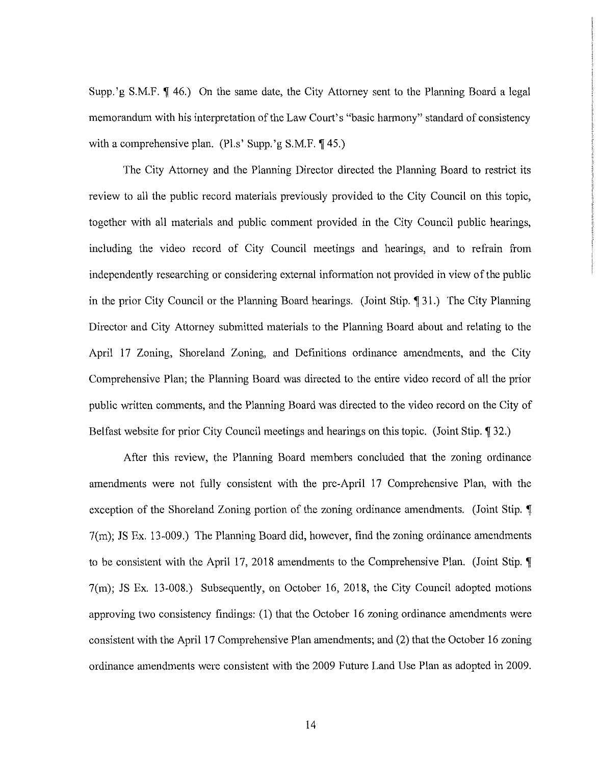Supp.'g S.M.F.  $\P$  46.) On the same date, the City Attorney sent to the Planning Board a legal memorandum with his interpretation of the Law Court's "basic harmony" standard of consistency with a comprehensive plan. (Pl.s' Supp.'g  $S.M.F. \P 45$ .)

The City Attorney and the Planning Director directed the Planning Board to restrict its review to all the public record materials previously provided to the City Council on this topic, together with all materials and public comment provided in the City Council public hearings, including the video record of City Council meetings and hearings, and to refrain from independently researching or considering external information not provided in view of the public in the prior City Council or the Planning Board hearings. (Joint Stip. 191.) The City Planning Director and City Attorney submitted materials to the Planning Board about and relating to the April 17 Zoning, Shoreland Zoning, and Definitions ordinance amendments, and the City Comprehensive Plan; the Planning Board was directed to the entire video record of all the prior public written comments, and the Planning Board was directed to the video record on the City of Belfast website for prior City Council meetings and hearings on this topic. (Joint Stip. 1932.)

After this review, the Planning Board members concluded that the zoning ordinance amendments were not fully consistent with the pre-April 17 Comprehensive Plan, with the exception of the Shoreland Zoning portion of the zoning ordinance amendments. (Joint Stip. **T**) 7(m); JS Ex. 13-009.) The Planning Board did, however, find the zoning ordinance amendments to be consistent with the April 17, 2018 amendments to the Comprehensive Plan. (Joint Stip. **f** 7(m); JS Ex. 13-008.) Subsequently, on October 16, 2018, the City Council adopted motions approving two consistency findings: (1) that the October 16 zoning ordinance amendments were consistent with the April 17 Comprehensive Plan amendments; and (2) that the October 16 zoning ordinance amendments were consistent with the 2009 Future Land Use Plan as adopted in 2009.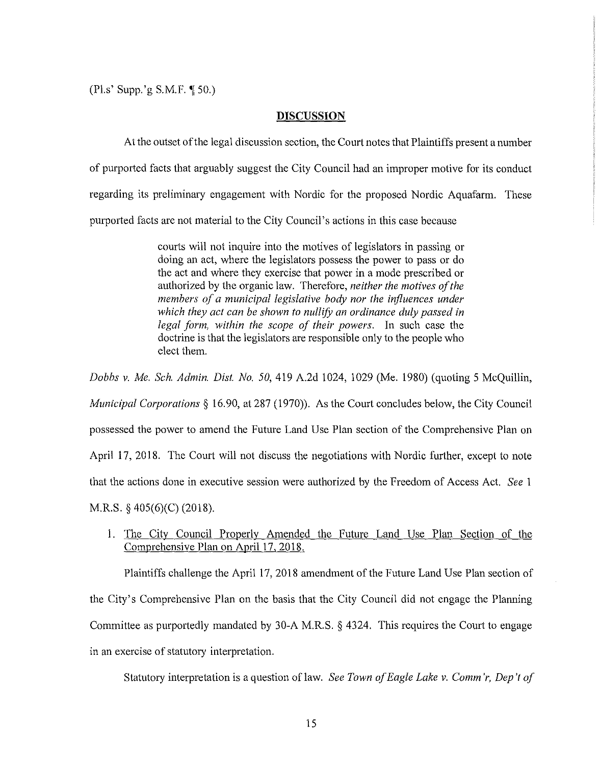$(Pl.s' Supp.'g S.M.F. \P 50.)$ 

### **DISCUSSION**

At the outset of the legal discussion section, the Court notes that Plaintiffs present a number of purported facts that arguably suggest the City Council had an improper motive for its conduct regarding its preliminary engagement with Nordic for the proposed Nordic Aquafarm. These purported facts are not material to the City Council's actions in this case because

> courts will not inquire into the motives of legislators in passing or doing an act, where the legislators possess the power to pass or do the act and where they exercise that power in a mode prescribed or authorized by the organic law. Therefore, *neither the motives of the members of a municipal legislative body nor the influences under which they act can be shown to nullify an ordinance duly passed in legal form, within the scope of their powers.* In such case the doctrine is that the legislators are responsible only to the people who elect them.

*Dobbs* v. *Me. Sch. Admin. Dist. No. 50,* 419 A.2d 1024, 1029 (Me. 1980) (quoting 5 McQuillin, *Municipal Corporations§* 16.90, at 287 (1970)). As the Court concludes below, the City Council possessed the power to amend the Future Land Use Plan section of the Comprehensive Plan on April 17, 2018. The Court will not discuss the negotiations with Nordic further, except to note that the actions done in executive session were authorized by the Freedom of Access Act. *See* 1 M.R.S. § 405(6)(C) (2018).

1. The City Council Properly Amended the Future Land Use Plan Section of the Comprehensive Plan on April 17, 2018.

Plaintiffs challenge the April 17, 2018 amendment of the Future Land Use Plan section of the City's Comprehensive Plan on the basis that the City Council did not engage the Planning Committee as purportedly mandated by 30-A M.R.S. § 4324. This requires the Court to engage in an exercise of statutory interpretation.

Statutory interpretation is a question of law. *See Town of Eagle Lake v. Comm'r, Dep't of*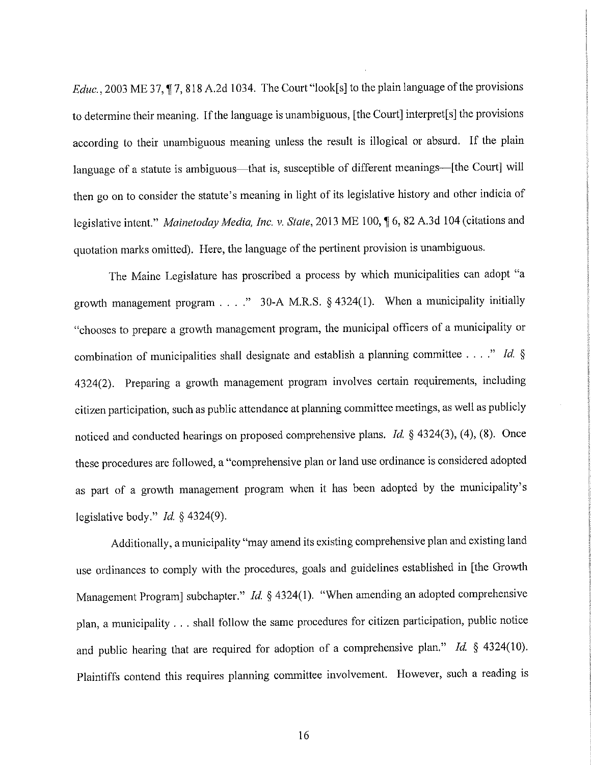*Educ.,* 2003 ME 37, **17,** 818 A.2d 1034. The Court "look[s] to the plain language of the provisions to determine their meaning. If the language is unambiguous, [the Court] interpret[s] the provisions according to their unambiguous meaning unless the result is illogical or absurd. If the plain language of a statute is ambiguous—that is, susceptible of different meanings—[the Court] will then go on to consider the statute's meaning in light of its legislative history and other indicia of legislative intent." *Mainetoday Media, Inc. v. State*, 2013 ME 100, 16, 82 A.3d 104 (citations and quotation marks omitted). Here, the language of the pertinent provision is unambiguous.

The Maine Legislature has proscribed a process by which municipalities can adopt "a growth management program ...." 30-A M.R.S.  $\S$  4324(1). When a municipality initially "chooses to prepare a growth management program, the municipal officers of a municipality or combination of municipalities shall designate and establish a planning committee ...." *Id.* § 4324(2). Preparing a growth management program involves certain requirements, including citizen participation, such as public attendance at planning committee meetings, as well as publicly noticed and conducted hearings on proposed comprehensive plans. *Id.* § 4324(3), (4), (8). Once these procedures are followed, a "comprehensive plan or land use ordinance is considered adopted as part of a growth management program when it has been adopted by the municipality's legislative body." *Id.* § 4324(9).

Additionally, a municipality "may amend its existing comprehensive plan and existing land use ordinances to comply with the procedures, goals and guidelines established in [the Growth Management Program] subchapter." *Id.* § 4324(1). "When amending an adopted comprehensive plan, a municipality ... shall follow the same procedures for citizen participation, public notice and public hearing that are required for adoption of a comprehensive plan." *Id.* § 4324(10). Plaintiffs contend this requires planning committee involvement. However, such a reading is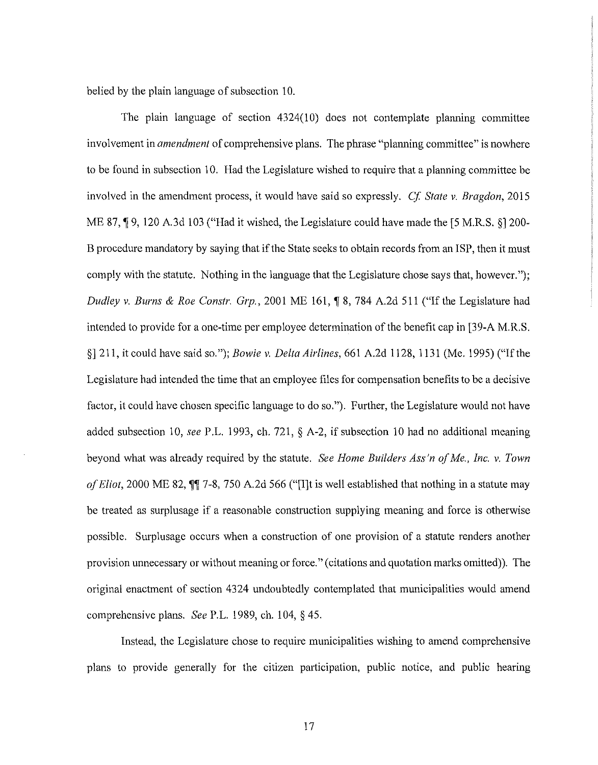belied by the plain language of subsection 10.

The plain language of section 4324(10) does not contemplate planning committee involvement in *amendment* of comprehensive plans. The phrase "planning committee" is nowhere to be found in subsection 10. Had the Legislature wished to require that a planning committee be involved in the amendment process, it would have said so expressly. *Cf State* v. *Bragdon,* 2015 ME 87,  $\lceil 9, 120 \rceil$  A.3d 103 ("Had it wished, the Legislature could have made the [5 M.R.S. §] 200-B procedure mandatory by saying that if the State seeks to obtain records from an ISP, then it must comply with the statute. Nothing in the language that the Legislature chose says that, however."); *Dudley v. Burns & Roe Constr. Grp.*, 2001 ME 161, ¶ 8, 784 A.2d 511 ("If the Legislature had intended to provide for a one-time per employee determination of the benefit cap in [39-A M.R.S. §] 211, it could have said so."); *Bowie* v. *Delta Airlines,* 661 A.2d 1128, 1131 (Me. 1995) ("If the Legislature had intended the time that an employee files for compensation benefits to be a decisive factor, it could have chosen specific language to do so."). Further, the Legislature would not have added subsection 10, *see* P.L. 1993, ch. 721, § A-2, if subsection 10 had no additional meaning beyond what was already required by the statute. *See Home Builders Ass'n of Me., Inc. v. Town of Eliot*, 2000 ME 82,  $\P$  7-8, 750 A.2d 566 ("[I]t is well established that nothing in a statute may be treated as surplusage if a reasonable construction supplying meaning and force is otherwise possible. Surplusage occurs when a construction of one provision of a statute renders another provision unnecessary or without meaning or force." ( citations and quotation marks omitted)). The original enactment of section 4324 undoubtedly contemplated that municipalities would amend comprehensive plans. *See* P.L. 1989, ch. 104, § 45.

Instead, the Legislature chose to require municipalities wishing to amend comprehensive plans to provide generally for the citizen participation, public notice, and public hearing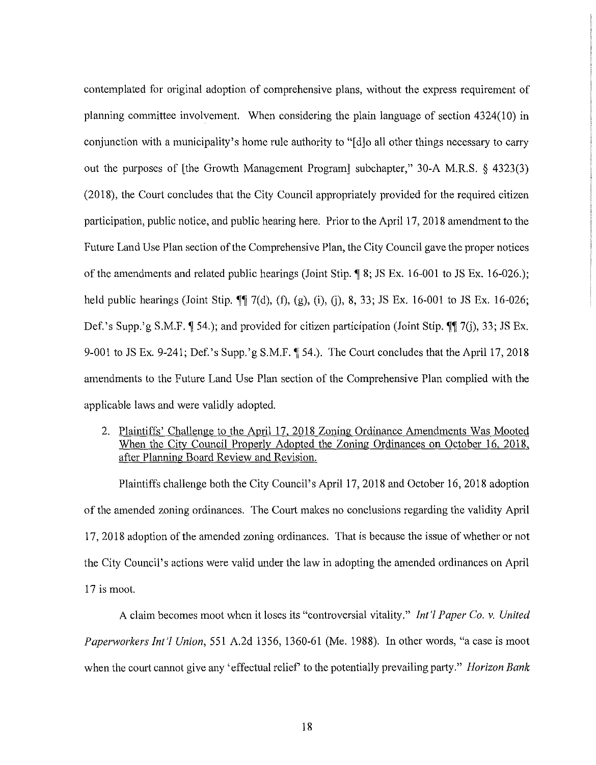contemplated for original adoption of comprehensive plans, without the express requirement of planning committee involvement. When considering the plain language of section 4324(10) in conjunction with a municipality's home rule authority to "[d]o all other things necessary to carry out the purposes of [the Growth Management Program] subchapter," 30-A M.R.S. § 4323(3) (2018), the Court concludes that the City Council appropriately provided for the required citizen participation, public notice, and public hearing here. Prior to the April 17, 2018 amendment to the Future Land Use Plan section of the Comprehensive Plan, the City Council gave the proper notices of the amendments and related public hearings (Joint Stip. **,i** 8; JS Ex. 16-001 to JS Ex. 16-026.); held public hearings (Joint Stip. **1** 7(d), (f), (g), (i), (j), 8, 33; JS Ex. 16-001 to JS Ex. 16-026; Def.'s Supp.'g S.M.F. **(1** 54.); and provided for citizen participation (Joint Stip. **(1)**, 7(i), 33; JS Ex. 9-001 to JS Ex. 9-241; Def.'s Supp.'g S.M.F. [54.]. The Court concludes that the April 17, 2018 amendments to the Future Land Use Plan section of the Comprehensive Plan complied with the applicable laws and were validly adopted.

2. Plaintiffs' Challenge to the April 17, 2018 Zoning Ordinance Amendments Was Mooted When the City Council Properly Adopted the Zoning Ordinances on October 16, 2018, after Planning Board Review and Revision.

Plaintiffs challenge both the City Council's April 17, 2018 and October 16, 2018 adoption of the amended zoning ordinances. The Comt makes no conclusions regarding the validity April 1 7, 2018 adoption of the amended zoning ordinances. That is because the issue of whether or not the City Council's actions were valid under the law in adopting the amended ordinances on April 17 is moot.

A claim becomes moot when it loses its "controversial vitality." *Int'/ Paper Co. v. United Paperworkers Int'/ Union,* 551 A.2d 1356, 1360-61 (Me. 1988). In other words, "a case is moot when the court cannot give any 'effectual relief' to the potentially prevailing party." *Horizon Bank*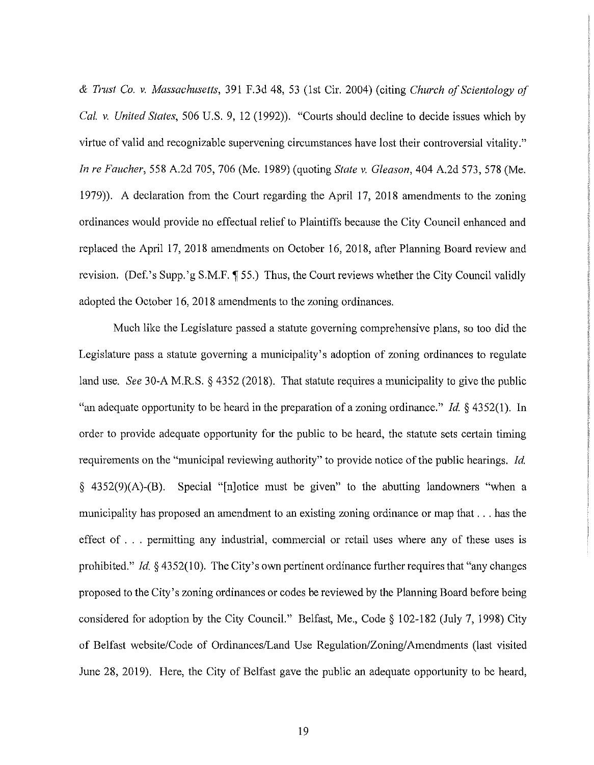*& Trust Co. v. Massachusetts,* 391 F.3d 48, 53 (1st Cir. 2004) (citing *Church of Scientology of Cal. v. United States,* 506 U.S. 9, 12 (1992)). "Courts should decline to decide issues which by virtue of valid and recognizable supervening circumstances have lost their controversial vitality." *In re Faucher,* 558 A.2d 705, 706 (Me. 1989) (quoting *State v. Gleason,* 404 A.2d 573,578 (Me. 1979)). A declaration from the Court regarding the April 17, 2018 amendments to the zoning ordinances would provide no effectual relief to Plaintiffs because the City Council enhanced and replaced the April 17, 2018 amendments on October 16, 2018, after Planning Board review and revision. (Def.'s Supp.'g S.M.F.  $\P$  55.) Thus, the Court reviews whether the City Council validly adopted the October 16, 2018 amendments to the zoning ordinances.

Much like the Legislature passed a statute governing comprehensive plans, so too did the Legislature pass a statute governing a municipality's adoption of zoning ordinances to regulate land use. *See* 30-A M.R.S. § 4352 (2018). That statute requires a municipality to give the public "an adequate opportunity to be heard in the preparation of a zoning ordinance." *Id.* § 4352(1). In order to provide adequate opportunity for the public to be heard, the statute sets certain timing requirements on the "municipal reviewing authority" to provide notice of the public hearings. *Id.*  § 4352(9)(A)-(B). Special "[n]otice must be given" to the abutting landowners "when a municipality has proposed an amendment to an existing zoning ordinance or map that ... has the effect of ... permitting any industrial, commercial or retail uses where any of these uses is prohibited." *Id.* § 4352(10). The City's own pertinent ordinance further requires that "any changes proposed to the City's zoning ordinances or codes be reviewed by the Planning Board before being considered for adoption by the City Council." Belfast, Me., Code§ 102-182 (July 7, 1998) City of Belfast website/Code of Ordinances/Land Use Regulation/Zoning/Amendments (last visited June 28, 2019). Here, the City of Belfast gave the public an adequate opportunity to be heard,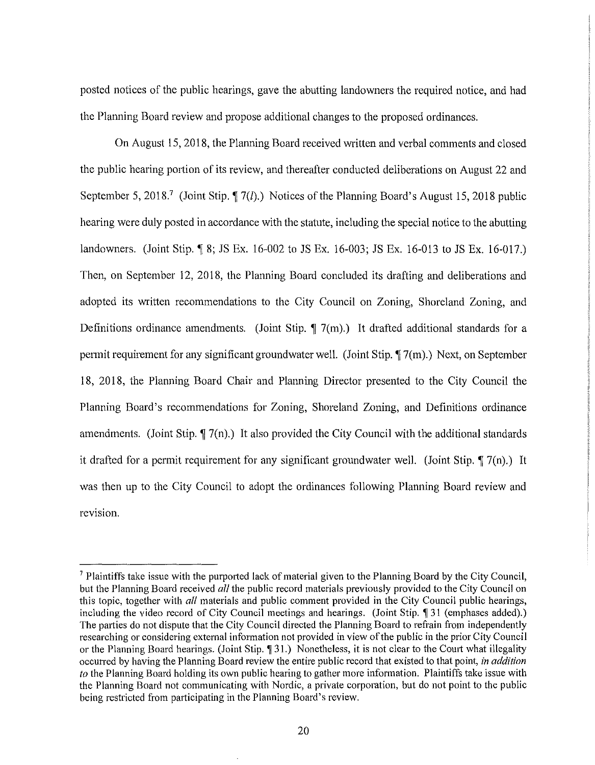posted notices of the public hearings, gave the abutting landowners the required notice, and had the Planning Board review and propose additional changes to the proposed ordinances.

On August 15, 2018, the Planning Board received written and verbal comments and closed the public hearing portion of its review, and thereafter conducted deliberations on August 22 and September 5, 2018.<sup>7</sup> (Joint Stip.  $\sqrt{7(l)}$ .) Notices of the Planning Board's August 15, 2018 public hearing were duly posted in accordance with the statute, including the special notice to the abutting landowners. (Joint Stip. 18; JS Ex. 16-002 to JS Ex. 16-003; JS Ex. 16-013 to JS Ex. 16-017.) Then, on September 12, 2018, the Planning Board concluded its drafting and deliberations and adopted its written recommendations to the City Council on Zoning, Shoreland Zoning, and Definitions ordinance amendments. (Joint Stip.  $\sqrt{ }$  7(m).) It drafted additional standards for a permit requirement for any significant groundwater well. (Joint Stip.  $\P$  7(m).) Next, on September 18, 2018, the Planning Board Chair and Planning Director presented to the City Council the Planning Board's recommendations for Zoning, Shoreland Zoning, and Definitions ordinance amendments. (Joint Stip.  $\P$  7(n).) It also provided the City Council with the additional standards it drafted for a permit requirement for any significant groundwater well. (Joint Stip.  $\P$  7(n).) It was then up to the City Council to adopt the ordinances following Planning Board review and revision.

 $<sup>7</sup>$  Plaintiffs take issue with the purported lack of material given to the Planning Board by the City Council,</sup> but the Planning Board received *all* the public record materials previously provided to the City Council on this topic, together with *all* materials and public comment provided in the City Council public hearings, including the video record of City Council meetings and hearings. (Joint Stip. 1 31 (emphases added).) The parties do not dispute that the City Council directed the Planning Board to refrain from independently researching or considering external information not provided in view of the public in the prior City Council or the Planning Board hearings. (Joint Stip. 1931.) Nonetheless, it is not clear to the Court what illegality occurred by having the Planning Board review the entire public record that existed to that point, *in addition to* the Planning Board holding its own public hearing to gather more information. Plaintiffs take issue with the Planning Board not communicating with Nordic, a private corporation, but do not point to the public being restricted from participating in the Planning Board's review.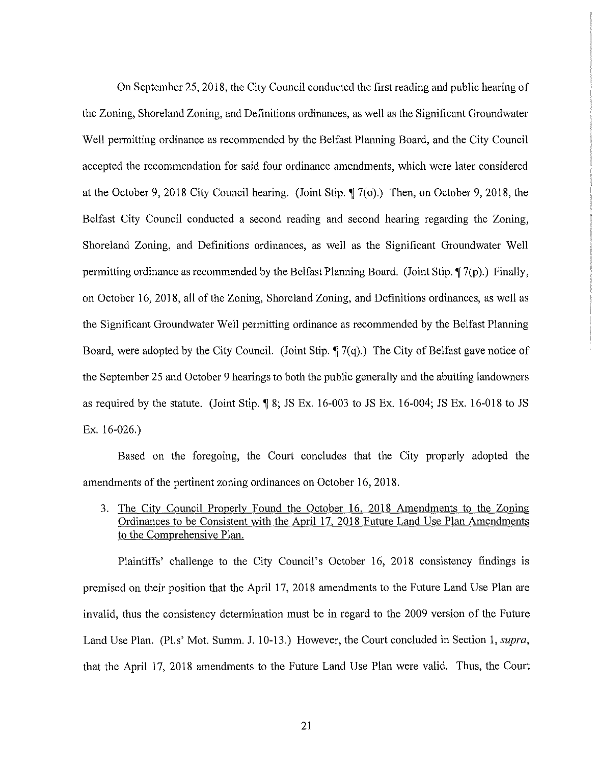On September 25, 2018, the City Council conducted the first reading and public hearing of the Zoning, Shoreland Zoning, and Definitions ordinances, as well as the Significant Groundwater Well permitting ordinance as recommended by the Belfast Planning Board, and the City Council accepted the recommendation for said four ordinance amendments, which were later considered at the October 9, 2018 City Council hearing. (Joint Stip.  $\P$  7(o).) Then, on October 9, 2018, the Belfast City Council conducted a second reading and second hearing regarding the Zoning, Shoreland Zoning, and Definitions ordinances, as well as the Significant Groundwater Well permitting ordinance as recommended by the Belfast Planning Board. (Joint Stip. **17(p**).) Finally, on October 16, 2018, all of the Zoning, Shore land Zoning, and Definitions ordinances, as well as the Significant Groundwater Well permitting ordinance as recommended by the Belfast Planning Board, were adopted by the City Council. (Joint Stip.  $\P$  7(q).) The City of Belfast gave notice of the September 25 and October 9 hearings to both the public generally and the abutting landowners as required by the statute. (Joint Stip.  $\parallel$  8; JS Ex. 16-003 to JS Ex. 16-004; JS Ex. 16-018 to JS Ex. 16-026.)

Based on the foregoing, the Comt concludes that the City properly adopted the amendments of the pertinent zoning ordinances on October 16, 2018.

3. The City Council Properly Found the October 16, 2018 Amendments to the Zoning Ordinances to be Consistent with the April 17, 2018 Future Land Use Plan Amendments to the Comprehensive Plan.

Plaintiffs' challenge to the City Council's October 16, 2018 consistency findings is premised on their position that the April 17, 2018 amendments to the Future Land Use Plan are invalid, thus the consistency determination must be in regard to the 2009 version of the Future Land Use Plan. (Pl.s' Mot. Summ. J. 10-13.) However, the Court concluded in Section 1, *supra,*  that the April 17, 2018 amendments to the Future Land Use Plan were valid. Thus, the Court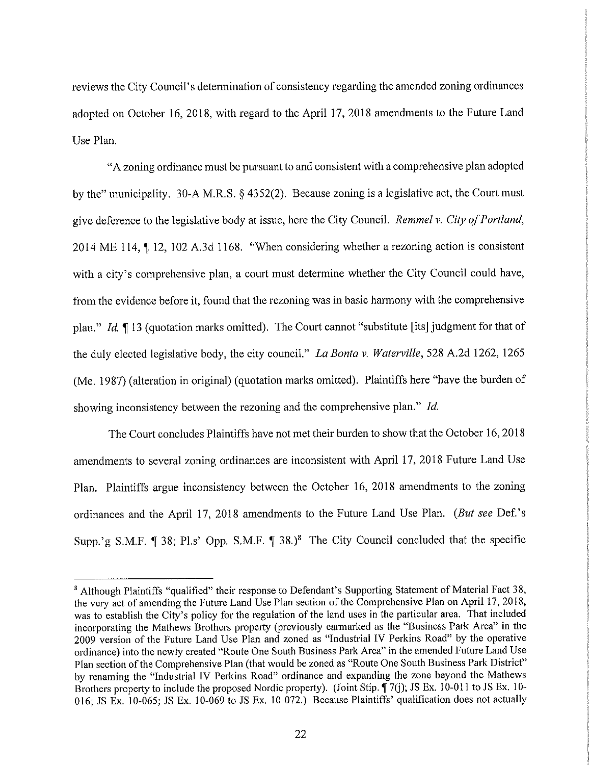reviews the City Council's determination of consistency regarding the amended zoning ordinances adopted on October 16, 2018, with regard to the April 17, 2018 amendments to the Future Land Use Plan.

"A zoning ordinance must be pursuant to and consistent with a comprehensive plan adopted by the" municipality. 30-A M.R.S. § 4352(2). Because zoning is a legislative act, the Court must give deference to the legislative body at issue, here the City Council. *Remmel v. City ofPortland,*  2014 ME 114,  $\P$  12, 102 A.3d 1168. "When considering whether a rezoning action is consistent with a city's comprehensive plan, a court must determine whether the City Council could have, from the evidence before it, found that the rezoning was in basic harmony with the comprehensive plan." *Id.* 13 (quotation marks omitted). The Court cannot "substitute [its] judgment for that of the duly elected legislative body, the city council." *La Banta v. Waterville,* 528 A.2d 1262, 1265 (Me. 1987) (alteration in original) ( quotation marks omitted). Plaintiffs here "have the burden of showing inconsistency between the rezoning and the comprehensive plan." *Id.* 

The Court concludes Plaintiffs have not met their burden to show that the October 16, 2018 amendments to several zoning ordinances are inconsistent with April 17, 2018 Future Land Use Plan. Plaintiffs argue inconsistency between the October 16, 2018 amendments to the zoning ordinances and the April 17, 2018 amendments to the Future Land Use Plan. *(But see* Def.'s Supp.'g S.M.F.  $\parallel$  38; Pl.s' Opp. S.M.F.  $\parallel$  38.)<sup>8</sup> The City Council concluded that the specific

<sup>8</sup>Although Plaintiffs "qualified" their response to Defendant's Supporting Statement of Material Fact 38, the very act of amending the Future Land Use Plan section of the Comprehensive Plan on April 17, 2018, was to establish the City's policy for the regulation of the land uses in the particular area. That included incorporating the Mathews Brothers property (previously earmarked as the "Business Park Area" in the 2009 version of the Future Land Use Plan and zoned as "Industrial IV Perkins Road" by the operative ordinance) into the newly created "Route One South Business Park Area" in the amended Future Land Use Plan section of the Comprehensive Plan (that would be zoned as "Route One South Business Park District" by renaming the "Industrial IV Perkins Road" ordinance and expanding the zone beyond the Mathews Brothers property to include the proposed Nordic property). (Joint Stip.  $\P$  7(j); JS Ex. 10-011 to JS Ex. 10-016; JS Ex. 10-065; JS Ex. 10-069 to JS Ex. 10-072.) Because Plaintiffs' qualification does not actually